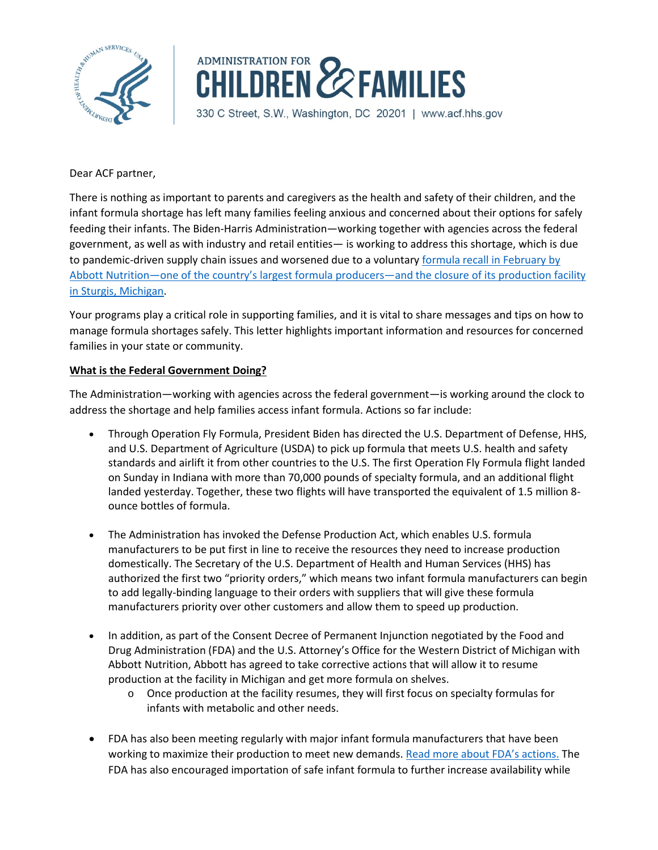



## Dear ACF partner,

There is nothing as important to parents and caregivers as the health and safety of their children, and the infant formula shortage has left many families feeling anxious and concerned about their options for safely feeding their infants. The Biden-Harris Administration—working together with agencies across the federal government, as well as with industry and retail entities— is working to address this shortage, which is due to pandemic-driven supply chain issues and worsened due to a voluntary [formula recall in February](https://www.fda.gov/food/outbreaks-foodborne-illness/fda-investigation-cronobacter-infections-powdered-infant-formula-february-2022#622f1cc391bf6) by Abbott Nutrition—one of the country's largest formula producers—and the closure of its production facility in Sturgis, Michigan.

Your programs play a critical role in supporting families, and it is vital to share messages and tips on how to manage formula shortages safely. This letter highlights important information and resources for concerned families in your state or community.

## **What is the Federal Government Doing?**

The Administration—working with agencies across the federal government—is working around the clock to address the shortage and help families access infant formula. Actions so far include:

- Through Operation Fly Formula, President Biden has directed the U.S. Department of Defense, HHS, and U.S. Department of Agriculture (USDA) to pick up formula that meets U.S. health and safety standards and airlift it from other countries to the U.S. The first Operation Fly Formula flight landed on Sunday in Indiana with more than 70,000 pounds of specialty formula, and an additional flight landed yesterday. Together, these two flights will have transported the equivalent of 1.5 million 8 ounce bottles of formula.
- The Administration has invoked the Defense Production Act, which enables U.S. formula manufacturers to be put first in line to receive the resources they need to increase production domestically. The Secretary of the U.S. Department of Health and Human Services (HHS) has authorized the first two "priority orders," which means two infant formula manufacturers can begin to add legally-binding language to their orders with suppliers that will give these formula manufacturers priority over other customers and allow them to speed up production.
- In addition, as part of the Consent Decree of Permanent Injunction negotiated by the Food and Drug Administration (FDA) and the U.S. Attorney's Office for the Western District of Michigan with Abbott Nutrition, Abbott has agreed to take corrective actions that will allow it to resume production at the facility in Michigan and get more formula on shelves.
	- o Once production at the facility resumes, they will first focus on specialty formulas for infants with metabolic and other needs.
- FDA has also been meeting regularly with major infant formula manufacturers that have been working to maximize their production to meet new demands. [Read more about FDA's actions.](https://www.fda.gov/news-events/press-announcements/fda-provides-new-updates-activities-mitigate-infant-formula-supply-challenges-abbott-nutrition) The FDA has also encouraged importation of safe infant formula to further increase availability while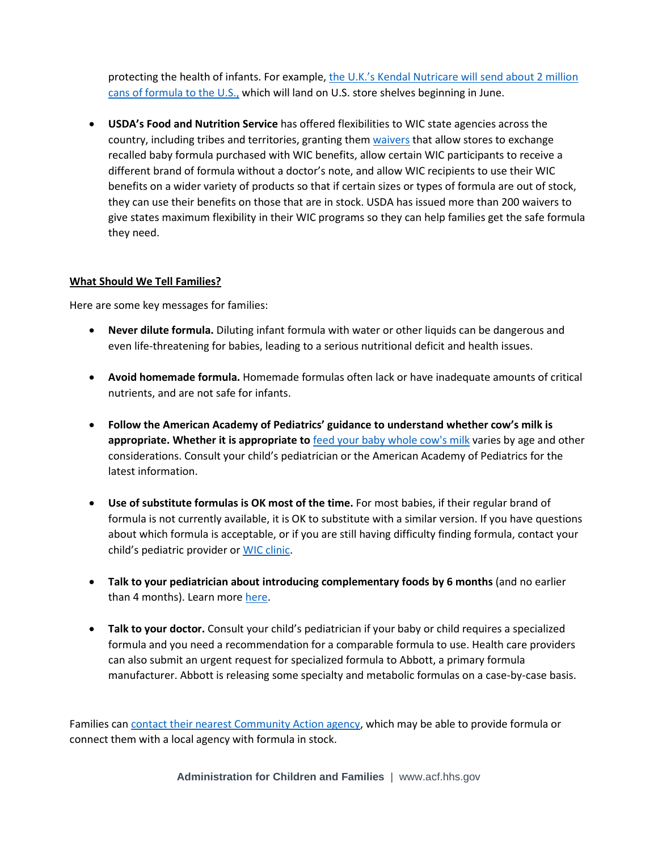protecting the health of infants. For example, [the U.K.'s Kendal Nutricare will](https://www.fda.gov/news-events/press-announcements/fda-flexibilities-yield-millions-cans-additional-infant-formula-coming-months-increase-supply) send about 2 million [cans of formula to the U.S.,](https://www.fda.gov/news-events/press-announcements/fda-flexibilities-yield-millions-cans-additional-infant-formula-coming-months-increase-supply) which will land on U.S. store shelves beginning in June.

• **USDA's Food and Nutrition Service** has offered flexibilities to WIC state agencies across the country, including tribes and territories, granting them [waivers](https://www.usda.gov/media/press-releases/2022/05/13/usda-continues-urgent-actions-address-infant-formula-shortage) that allow stores to exchange recalled baby formula purchased with WIC benefits, allow certain WIC participants to receive a different brand of formula without a doctor's note, and allow WIC recipients to use their WIC benefits on a wider variety of products so that if certain sizes or types of formula are out of stock, they can use their benefits on those that are in stock. USDA has issued more than 200 waivers to give states maximum flexibility in their WIC programs so they can help families get the safe formula they need.

## **What Should We Tell Families?**

Here are some key messages for families:

- **Never dilute formula.** Diluting infant formula with water or other liquids can be dangerous and even life-threatening for babies, leading to a serious nutritional deficit and health issues.
- **Avoid homemade formula.** Homemade formulas often lack or have inadequate amounts of critical nutrients, and are not safe for infants.
- **Follow the American Academy of Pediatrics' guidance to understand whether cow's milk is appropriate. Whether it is appropriate to** [feed your baby whole cow's milk](https://healthychildren.org/English/tips-tools/ask-the-pediatrician/Pages/Are-there-shortages-of-infant-formula-due-to-COVID-19.aspx?_ga=2.101801289.913223327.1652738083-1851693425.1652738083&_gl=1*1uo5bux*_ga*MTg1MTY5MzQyNS4xNjUyNzM4MDgz*_ga_FD9D3XZVQQ*MTY1MjczODA4Mi4xLjAuMTY1MjczODA4Mi4w) varies by age and other considerations. Consult your child's pediatrician or the American Academy of Pediatrics for the latest information.
- **Use of substitute formulas is OK most of the time.** For most babies, if their regular brand of formula is not currently available, it is OK to substitute with a similar version. If you have questions about which formula is acceptable, or if you are still having difficulty finding formula, contact your child's pediatric provider or [WIC clinic.](https://www.signupwic.com/)
- **Talk to your pediatrician about introducing complementary foods by 6 months** (and no earlier than 4 months). Learn more [here.](https://www.myplate.gov/life-stages/infants)
- **Talk to your doctor.** Consult your child's pediatrician if your baby or child requires a specialized formula and you need a recommendation for a comparable formula to use. Health care providers can also submit an urgent request for specialized formula to Abbott, a primary formula manufacturer. Abbott is releasing some specialty and metabolic formulas on a case-by-case basis.

Families can contact their [nearest Community Action agency,](https://communityactionpartnership.com/find-a-cap/) which may be able to provide formula or connect them with a local agency with formula in stock.

**Administration for Children and Families** | www.acf.hhs.gov